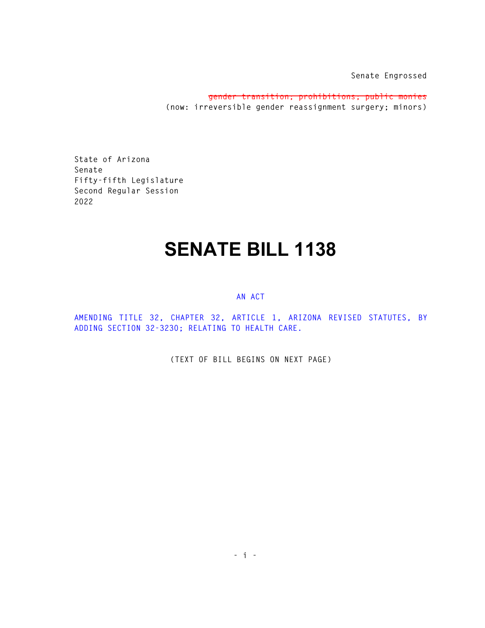**Senate Engrossed** 

**gender transition; prohibitions; public monies (now: irreversible gender reassignment surgery; minors)** 

**State of Arizona Senate Fifty-fifth Legislature Second Regular Session 2022** 

## **SENATE BILL 1138**

## **AN ACT**

**AMENDING TITLE 32, CHAPTER 32, ARTICLE 1, ARIZONA REVISED STATUTES, BY ADDING SECTION 32-3230; RELATING TO HEALTH CARE.** 

**(TEXT OF BILL BEGINS ON NEXT PAGE)**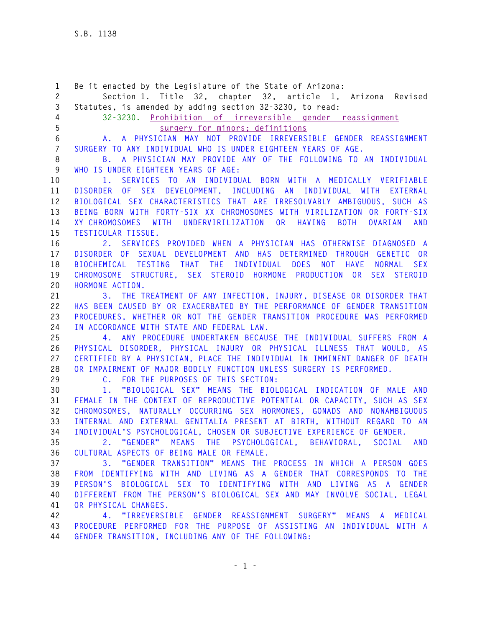**1 Be it enacted by the Legislature of the State of Arizona: 2 Section 1. Title 32, chapter 32, article 1, Arizona Revised 3 Statutes, is amended by adding section 32-3230, to read: 4 32-3230. Prohibition of irreversible gender reassignment 5 surgery for minors; definitions 6 A. A PHYSICIAN MAY NOT PROVIDE IRREVERSIBLE GENDER REASSIGNMENT 7 SURGERY TO ANY INDIVIDUAL WHO IS UNDER EIGHTEEN YEARS OF AGE. 8 B. A PHYSICIAN MAY PROVIDE ANY OF THE FOLLOWING TO AN INDIVIDUAL 9 WHO IS UNDER EIGHTEEN YEARS OF AGE: 10 1. SERVICES TO AN INDIVIDUAL BORN WITH A MEDICALLY VERIFIABLE 11 DISORDER OF SEX DEVELOPMENT, INCLUDING AN INDIVIDUAL WITH EXTERNAL 12 BIOLOGICAL SEX CHARACTERISTICS THAT ARE IRRESOLVABLY AMBIGUOUS, SUCH AS 13 BEING BORN WITH FORTY-SIX XX CHROMOSOMES WITH VIRILIZATION OR FORTY-SIX 14 XY CHROMOSOMES WITH UNDERVIRILIZATION OR HAVING BOTH OVARIAN AND 15 TESTICULAR TISSUE. 16 2. SERVICES PROVIDED WHEN A PHYSICIAN HAS OTHERWISE DIAGNOSED A 17 DISORDER OF SEXUAL DEVELOPMENT AND HAS DETERMINED THROUGH GENETIC OR 18 BIOCHEMICAL TESTING THAT THE INDIVIDUAL DOES NOT HAVE NORMAL SEX 19 CHROMOSOME STRUCTURE, SEX STEROID HORMONE PRODUCTION OR SEX STEROID 20 HORMONE ACTION. 21 3. THE TREATMENT OF ANY INFECTION, INJURY, DISEASE OR DISORDER THAT 22 HAS BEEN CAUSED BY OR EXACERBATED BY THE PERFORMANCE OF GENDER TRANSITION 23 PROCEDURES, WHETHER OR NOT THE GENDER TRANSITION PROCEDURE WAS PERFORMED 24 IN ACCORDANCE WITH STATE AND FEDERAL LAW. 25 4. ANY PROCEDURE UNDERTAKEN BECAUSE THE INDIVIDUAL SUFFERS FROM A 26 PHYSICAL DISORDER, PHYSICAL INJURY OR PHYSICAL ILLNESS THAT WOULD, AS 27 CERTIFIED BY A PHYSICIAN, PLACE THE INDIVIDUAL IN IMMINENT DANGER OF DEATH 28 OR IMPAIRMENT OF MAJOR BODILY FUNCTION UNLESS SURGERY IS PERFORMED. 29 C. FOR THE PURPOSES OF THIS SECTION: 30 1. "BIOLOGICAL SEX" MEANS THE BIOLOGICAL INDICATION OF MALE AND 31 FEMALE IN THE CONTEXT OF REPRODUCTIVE POTENTIAL OR CAPACITY, SUCH AS SEX 32 CHROMOSOMES, NATURALLY OCCURRING SEX HORMONES, GONADS AND NONAMBIGUOUS 33 INTERNAL AND EXTERNAL GENITALIA PRESENT AT BIRTH, WITHOUT REGARD TO AN 34 INDIVIDUAL'S PSYCHOLOGICAL, CHOSEN OR SUBJECTIVE EXPERIENCE OF GENDER. 35 2. "GENDER" MEANS THE PSYCHOLOGICAL, BEHAVIORAL, SOCIAL AND 36 CULTURAL ASPECTS OF BEING MALE OR FEMALE. 37 3. "GENDER TRANSITION" MEANS THE PROCESS IN WHICH A PERSON GOES 38 FROM IDENTIFYING WITH AND LIVING AS A GENDER THAT CORRESPONDS TO THE 39 PERSON'S BIOLOGICAL SEX TO IDENTIFYING WITH AND LIVING AS A GENDER 40 DIFFERENT FROM THE PERSON'S BIOLOGICAL SEX AND MAY INVOLVE SOCIAL, LEGAL 41 OR PHYSICAL CHANGES. 42 4. "IRREVERSIBLE GENDER REASSIGNMENT SURGERY" MEANS A MEDICAL 43 PROCEDURE PERFORMED FOR THE PURPOSE OF ASSISTING AN INDIVIDUAL WITH A 44 GENDER TRANSITION, INCLUDING ANY OF THE FOLLOWING:**